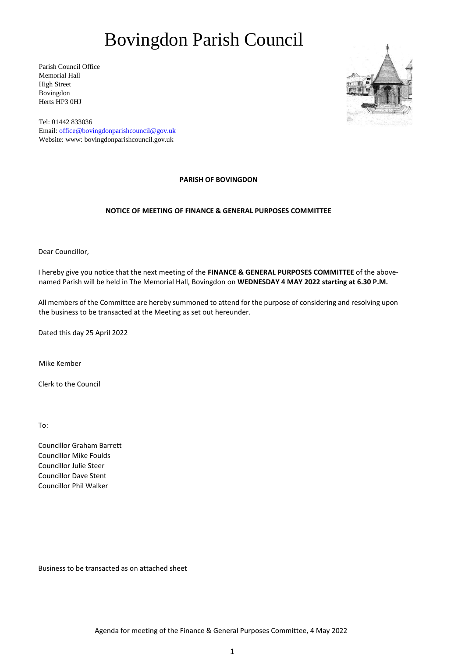# Bovingdon Parish Council

Parish Council Office Memorial Hall High Street Bovingdon Herts HP3 0HJ



Tel: 01442 833036 Email: office@bovingdonparishcouncil@gov.uk Website: www: bovingdonparishcouncil.gov.uk

### **PARISH OF BOVINGDON**

## **NOTICE OF MEETING OF FINANCE & GENERAL PURPOSES COMMITTEE**

Dear Councillor,

I hereby give you notice that the next meeting of the **FINANCE & GENERAL PURPOSES COMMITTEE** of the abovenamed Parish will be held in The Memorial Hall, Bovingdon on **WEDNESDAY 4 MAY 2022 starting at 6.30 P.M.** 

All members of the Committee are hereby summoned to attend for the purpose of considering and resolving upon the business to be transacted at the Meeting as set out hereunder.

Dated this day 25 April 2022

Mike Kember

Clerk to the Council

To:

Councillor Graham Barrett Councillor Mike Foulds Councillor Julie Steer Councillor Dave Stent Councillor Phil Walker

Business to be transacted as on attached sheet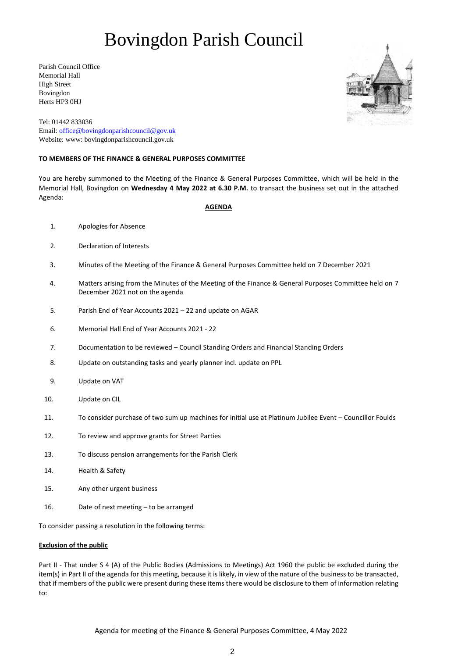# Bovingdon Parish Council

Parish Council Office Memorial Hall High Street Bovingdon Herts HP3 0HJ



Tel: 01442 833036 Email: office@bovingdonparishcouncil@gov.uk Website: www: bovingdonparishcouncil.gov.uk

### **TO MEMBERS OF THE FINANCE & GENERAL PURPOSES COMMITTEE**

You are hereby summoned to the Meeting of the Finance & General Purposes Committee, which will be held in the Memorial Hall, Bovingdon on **Wednesday 4 May 2022 at 6.30 P.M.** to transact the business set out in the attached Agenda:

### **AGENDA**

- 1. Apologies for Absence
- 2. Declaration of Interests
- 3. Minutes of the Meeting of the Finance & General Purposes Committee held on 7 December 2021
- 4. Matters arising from the Minutes of the Meeting of the Finance & General Purposes Committee held on 7 December 2021 not on the agenda
- 5. Parish End of Year Accounts 2021 22 and update on AGAR
- 6. Memorial Hall End of Year Accounts 2021 22
- 7. Documentation to be reviewed Council Standing Orders and Financial Standing Orders
- 8. Update on outstanding tasks and yearly planner incl. update on PPL
- 9. Update on VAT
- 10. Update on CIL
- 11. To consider purchase of two sum up machines for initial use at Platinum Jubilee Event Councillor Foulds
- 12. To review and approve grants for Street Parties
- 13. To discuss pension arrangements for the Parish Clerk
- 14. Health & Safety
- 15. Any other urgent business
- 16. Date of next meeting to be arranged

To consider passing a resolution in the following terms:

### **Exclusion of the public**

Part II - That under S 4 (A) of the Public Bodies (Admissions to Meetings) Act 1960 the public be excluded during the item(s) in Part II of the agenda for this meeting, because it is likely, in view of the nature of the business to be transacted, that if members of the public were present during these items there would be disclosure to them of information relating to: